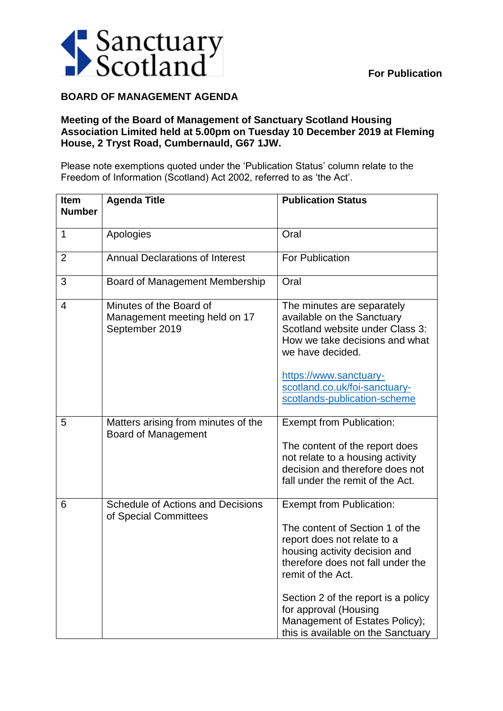

## **BOARD OF MANAGEMENT AGENDA**

## **Meeting of the Board of Management of Sanctuary Scotland Housing Association Limited held at 5.00pm on Tuesday 10 December 2019 at Fleming House, 2 Tryst Road, Cumbernauld, G67 1JW.**

Please note exemptions quoted under the 'Publication Status' column relate to the Freedom of Information (Scotland) Act 2002, referred to as 'the Act'.

| <b>Item</b><br><b>Number</b> | <b>Agenda Title</b>                                                        | <b>Publication Status</b>                                                                                                                                                                                                                                                                                                            |
|------------------------------|----------------------------------------------------------------------------|--------------------------------------------------------------------------------------------------------------------------------------------------------------------------------------------------------------------------------------------------------------------------------------------------------------------------------------|
| 1                            | Apologies                                                                  | Oral                                                                                                                                                                                                                                                                                                                                 |
| $\overline{2}$               | <b>Annual Declarations of Interest</b>                                     | <b>For Publication</b>                                                                                                                                                                                                                                                                                                               |
| 3                            | Board of Management Membership                                             | Oral                                                                                                                                                                                                                                                                                                                                 |
| 4                            | Minutes of the Board of<br>Management meeting held on 17<br>September 2019 | The minutes are separately<br>available on the Sanctuary<br>Scotland website under Class 3:<br>How we take decisions and what<br>we have decided.<br>https://www.sanctuary-<br>scotland.co.uk/foi-sanctuary-<br>scotlands-publication-scheme                                                                                         |
| 5                            | Matters arising from minutes of the<br><b>Board of Management</b>          | <b>Exempt from Publication:</b><br>The content of the report does<br>not relate to a housing activity<br>decision and therefore does not<br>fall under the remit of the Act.                                                                                                                                                         |
| 6                            | <b>Schedule of Actions and Decisions</b><br>of Special Committees          | <b>Exempt from Publication:</b><br>The content of Section 1 of the<br>report does not relate to a<br>housing activity decision and<br>therefore does not fall under the<br>remit of the Act.<br>Section 2 of the report is a policy<br>for approval (Housing<br>Management of Estates Policy);<br>this is available on the Sanctuary |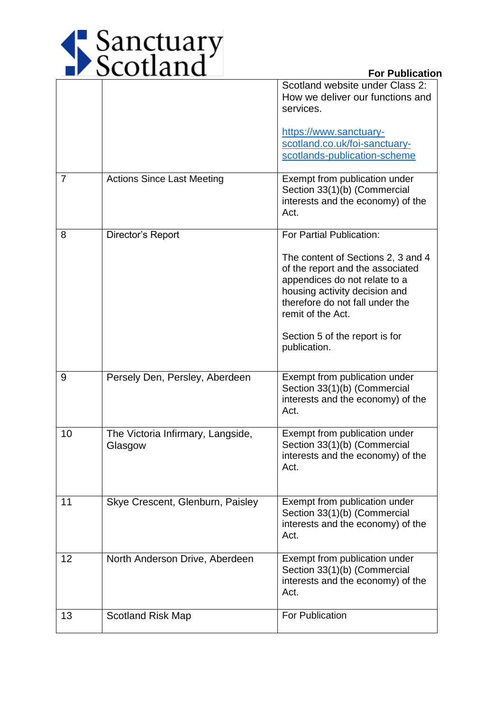

|                |                                              | Scotland website under Class 2:<br>How we deliver our functions and<br>services.<br>https://www.sanctuary-<br>scotland.co.uk/foi-sanctuary-<br>scotlands-publication-scheme                                                                                                    |
|----------------|----------------------------------------------|--------------------------------------------------------------------------------------------------------------------------------------------------------------------------------------------------------------------------------------------------------------------------------|
| $\overline{7}$ | <b>Actions Since Last Meeting</b>            | Exempt from publication under<br>Section 33(1)(b) (Commercial<br>interests and the economy) of the<br>Act.                                                                                                                                                                     |
| 8              | Director's Report                            | For Partial Publication:<br>The content of Sections 2, 3 and 4<br>of the report and the associated<br>appendices do not relate to a<br>housing activity decision and<br>therefore do not fall under the<br>remit of the Act.<br>Section 5 of the report is for<br>publication. |
| 9              | Persely Den, Persley, Aberdeen               | Exempt from publication under<br>Section 33(1)(b) (Commercial<br>interests and the economy) of the<br>Act.                                                                                                                                                                     |
| 10             | The Victoria Infirmary, Langside,<br>Glasgow | Exempt from publication under<br>Section 33(1)(b) (Commercial<br>interests and the economy) of the<br>Act.                                                                                                                                                                     |
| 11             | Skye Crescent, Glenburn, Paisley             | Exempt from publication under<br>Section 33(1)(b) (Commercial<br>interests and the economy) of the<br>Act.                                                                                                                                                                     |
| 12             | North Anderson Drive, Aberdeen               | Exempt from publication under<br>Section 33(1)(b) (Commercial<br>interests and the economy) of the<br>Act.                                                                                                                                                                     |
| 13             | <b>Scotland Risk Map</b>                     | For Publication                                                                                                                                                                                                                                                                |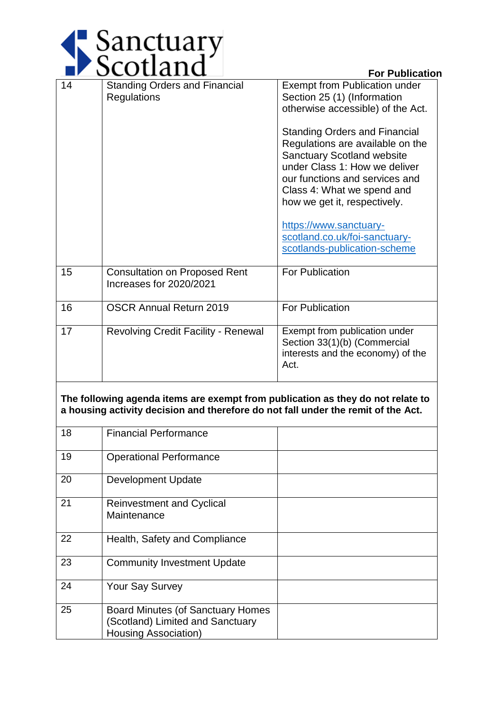

|                                                                                                                                                                      | ocotialiu                                                       | <b>For Publication</b>                                                                                                                                                                                                                         |  |  |
|----------------------------------------------------------------------------------------------------------------------------------------------------------------------|-----------------------------------------------------------------|------------------------------------------------------------------------------------------------------------------------------------------------------------------------------------------------------------------------------------------------|--|--|
| 14                                                                                                                                                                   | <b>Standing Orders and Financial</b><br><b>Regulations</b>      | <b>Exempt from Publication under</b><br>Section 25 (1) (Information<br>otherwise accessible) of the Act.                                                                                                                                       |  |  |
|                                                                                                                                                                      |                                                                 | <b>Standing Orders and Financial</b><br>Regulations are available on the<br><b>Sanctuary Scotland website</b><br>under Class 1: How we deliver<br>our functions and services and<br>Class 4: What we spend and<br>how we get it, respectively. |  |  |
|                                                                                                                                                                      |                                                                 | https://www.sanctuary-<br>scotland.co.uk/foi-sanctuary-<br>scotlands-publication-scheme                                                                                                                                                        |  |  |
| 15                                                                                                                                                                   | <b>Consultation on Proposed Rent</b><br>Increases for 2020/2021 | <b>For Publication</b>                                                                                                                                                                                                                         |  |  |
| 16                                                                                                                                                                   | <b>OSCR Annual Return 2019</b>                                  | <b>For Publication</b>                                                                                                                                                                                                                         |  |  |
| 17                                                                                                                                                                   | <b>Revolving Credit Facility - Renewal</b>                      | Exempt from publication under<br>Section 33(1)(b) (Commercial<br>interests and the economy) of the<br>Act.                                                                                                                                     |  |  |
| The following agenda items are exempt from publication as they do not relate to<br>a housing activity decision and therefore do not fall under the remit of the Act. |                                                                 |                                                                                                                                                                                                                                                |  |  |
| 18                                                                                                                                                                   | <b>Financial Performance</b>                                    |                                                                                                                                                                                                                                                |  |  |
| 19                                                                                                                                                                   | <b>Operational Performance</b>                                  |                                                                                                                                                                                                                                                |  |  |
| 20                                                                                                                                                                   | <b>Development Update</b>                                       |                                                                                                                                                                                                                                                |  |  |
| 21                                                                                                                                                                   | <b>Reinvestment and Cyclical</b><br>Maintenance                 |                                                                                                                                                                                                                                                |  |  |

|    | Maintenance                                                                                                  |  |
|----|--------------------------------------------------------------------------------------------------------------|--|
| 22 | Health, Safety and Compliance                                                                                |  |
| 23 | <b>Community Investment Update</b>                                                                           |  |
| 24 | <b>Your Say Survey</b>                                                                                       |  |
| 25 | <b>Board Minutes (of Sanctuary Homes)</b><br>(Scotland) Limited and Sanctuary<br><b>Housing Association)</b> |  |